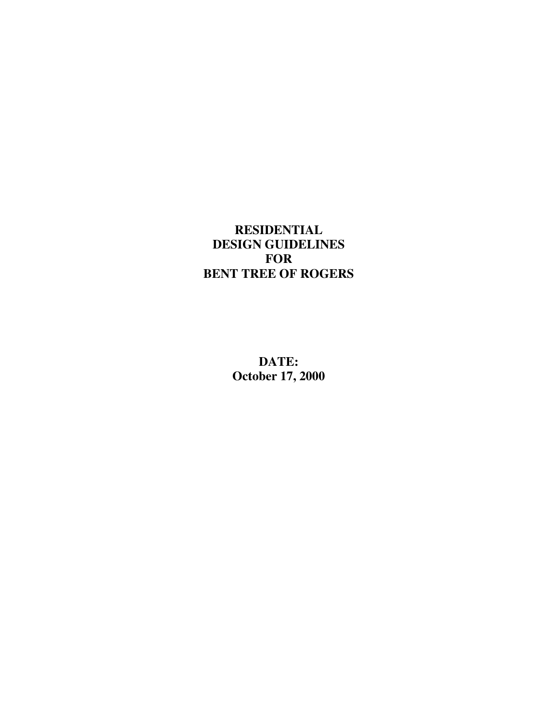## **RESIDENTIAL DESIGN GUIDELINES FOR BENT TREE OF ROGERS**

**DATE: October 17, 2000**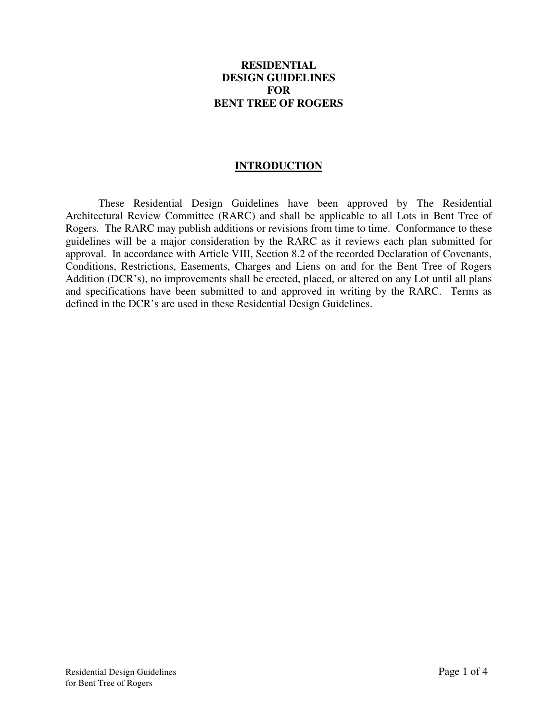## **RESIDENTIAL DESIGN GUIDELINES FOR BENT TREE OF ROGERS**

## **INTRODUCTION**

 These Residential Design Guidelines have been approved by The Residential Architectural Review Committee (RARC) and shall be applicable to all Lots in Bent Tree of Rogers. The RARC may publish additions or revisions from time to time. Conformance to these guidelines will be a major consideration by the RARC as it reviews each plan submitted for approval. In accordance with Article VIII, Section 8.2 of the recorded Declaration of Covenants, Conditions, Restrictions, Easements, Charges and Liens on and for the Bent Tree of Rogers Addition (DCR's), no improvements shall be erected, placed, or altered on any Lot until all plans and specifications have been submitted to and approved in writing by the RARC. Terms as defined in the DCR's are used in these Residential Design Guidelines.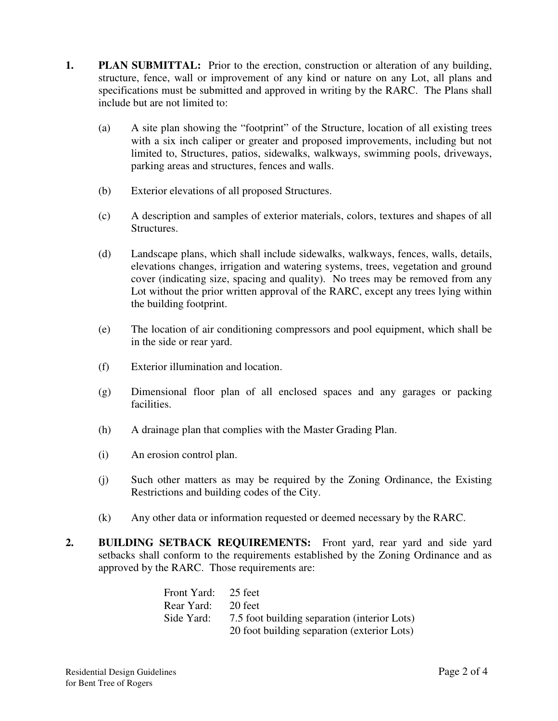- **1. PLAN SUBMITTAL:** Prior to the erection, construction or alteration of any building, structure, fence, wall or improvement of any kind or nature on any Lot, all plans and specifications must be submitted and approved in writing by the RARC. The Plans shall include but are not limited to:
	- (a) A site plan showing the "footprint" of the Structure, location of all existing trees with a six inch caliper or greater and proposed improvements, including but not limited to, Structures, patios, sidewalks, walkways, swimming pools, driveways, parking areas and structures, fences and walls.
	- (b) Exterior elevations of all proposed Structures.
	- (c) A description and samples of exterior materials, colors, textures and shapes of all Structures.
	- (d) Landscape plans, which shall include sidewalks, walkways, fences, walls, details, elevations changes, irrigation and watering systems, trees, vegetation and ground cover (indicating size, spacing and quality). No trees may be removed from any Lot without the prior written approval of the RARC, except any trees lying within the building footprint.
	- (e) The location of air conditioning compressors and pool equipment, which shall be in the side or rear yard.
	- (f) Exterior illumination and location.
	- (g) Dimensional floor plan of all enclosed spaces and any garages or packing facilities.
	- (h) A drainage plan that complies with the Master Grading Plan.
	- (i) An erosion control plan.
	- (j) Such other matters as may be required by the Zoning Ordinance, the Existing Restrictions and building codes of the City.
	- (k) Any other data or information requested or deemed necessary by the RARC.
- **2. BUILDING SETBACK REQUIREMENTS:** Front yard, rear yard and side yard setbacks shall conform to the requirements established by the Zoning Ordinance and as approved by the RARC. Those requirements are:

| Front Yard: 25 feet |                                              |
|---------------------|----------------------------------------------|
| Rear Yard: 20 feet  |                                              |
| Side Yard:          | 7.5 foot building separation (interior Lots) |
|                     | 20 foot building separation (exterior Lots)  |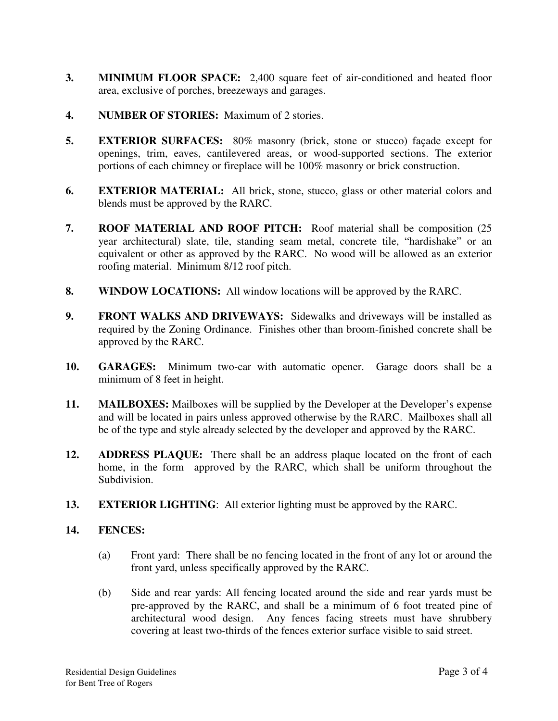- **3. MINIMUM FLOOR SPACE:** 2,400 square feet of air-conditioned and heated floor area, exclusive of porches, breezeways and garages.
- **4. NUMBER OF STORIES:** Maximum of 2 stories.
- **5. EXTERIOR SURFACES:** 80% masonry (brick, stone or stucco) façade except for openings, trim, eaves, cantilevered areas, or wood-supported sections. The exterior portions of each chimney or fireplace will be 100% masonry or brick construction.
- **6. EXTERIOR MATERIAL:** All brick, stone, stucco, glass or other material colors and blends must be approved by the RARC.
- **7. ROOF MATERIAL AND ROOF PITCH:** Roof material shall be composition (25 year architectural) slate, tile, standing seam metal, concrete tile, "hardishake" or an equivalent or other as approved by the RARC. No wood will be allowed as an exterior roofing material. Minimum 8/12 roof pitch.
- **8. WINDOW LOCATIONS:** All window locations will be approved by the RARC.
- **9. FRONT WALKS AND DRIVEWAYS:** Sidewalks and driveways will be installed as required by the Zoning Ordinance. Finishes other than broom-finished concrete shall be approved by the RARC.
- **10. GARAGES:** Minimum two-car with automatic opener. Garage doors shall be a minimum of 8 feet in height.
- **11. MAILBOXES:** Mailboxes will be supplied by the Developer at the Developer's expense and will be located in pairs unless approved otherwise by the RARC. Mailboxes shall all be of the type and style already selected by the developer and approved by the RARC.
- **12. ADDRESS PLAQUE:** There shall be an address plaque located on the front of each home, in the form approved by the RARC, which shall be uniform throughout the Subdivision.
- **13. EXTERIOR LIGHTING**: All exterior lighting must be approved by the RARC.

## **14. FENCES:**

- (a) Front yard: There shall be no fencing located in the front of any lot or around the front yard, unless specifically approved by the RARC.
- (b) Side and rear yards: All fencing located around the side and rear yards must be pre-approved by the RARC, and shall be a minimum of 6 foot treated pine of architectural wood design. Any fences facing streets must have shrubbery covering at least two-thirds of the fences exterior surface visible to said street.